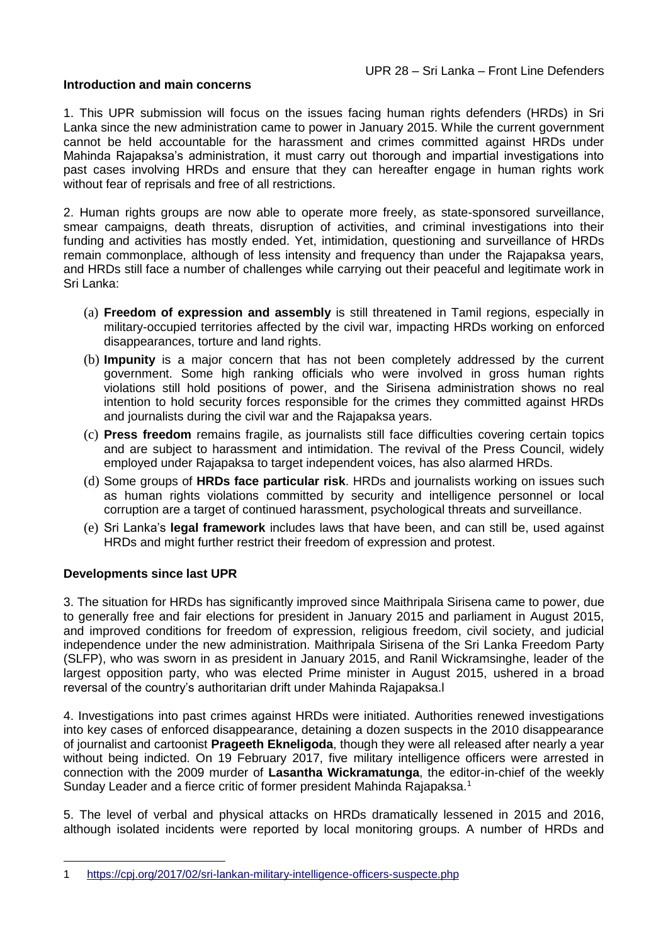#### **Introduction and main concerns**

1. This UPR submission will focus on the issues facing human rights defenders (HRDs) in Sri Lanka since the new administration came to power in January 2015. While the current government cannot be held accountable for the harassment and crimes committed against HRDs under Mahinda Rajapaksa's administration, it must carry out thorough and impartial investigations into past cases involving HRDs and ensure that they can hereafter engage in human rights work without fear of reprisals and free of all restrictions.

2. Human rights groups are now able to operate more freely, as state-sponsored surveillance, smear campaigns, death threats, disruption of activities, and criminal investigations into their funding and activities has mostly ended. Yet, intimidation, questioning and surveillance of HRDs remain commonplace, although of less intensity and frequency than under the Rajapaksa years, and HRDs still face a number of challenges while carrying out their peaceful and legitimate work in Sri Lanka:

- (a) **Freedom of expression and assembly** is still threatened in Tamil regions, especially in military-occupied territories affected by the civil war, impacting HRDs working on enforced disappearances, torture and land rights.
- (b) **Impunity** is a major concern that has not been completely addressed by the current government. Some high ranking officials who were involved in gross human rights violations still hold positions of power, and the Sirisena administration shows no real intention to hold security forces responsible for the crimes they committed against HRDs and journalists during the civil war and the Rajapaksa years.
- (c) **Press freedom** remains fragile, as journalists still face difficulties covering certain topics and are subject to harassment and intimidation. The revival of the Press Council, widely employed under Rajapaksa to target independent voices, has also alarmed HRDs.
- (d) Some groups of **HRDs face particular risk**. HRDs and journalists working on issues such as human rights violations committed by security and intelligence personnel or local corruption are a target of continued harassment, psychological threats and surveillance.
- (e) Sri Lanka's **legal framework** includes laws that have been, and can still be, used against HRDs and might further restrict their freedom of expression and protest.

## **Developments since last UPR**

<u>.</u>

3. The situation for HRDs has significantly improved since Maithripala Sirisena came to power, due to generally free and fair elections for president in January 2015 and parliament in August 2015, and improved conditions for freedom of expression, religious freedom, civil society, and judicial independence under the new administration. Maithripala Sirisena of the Sri Lanka Freedom Party (SLFP), who was sworn in as president in January 2015, and Ranil Wickramsinghe, leader of the largest opposition party, who was elected Prime minister in August 2015, ushered in a broad reversal of the country's authoritarian drift under Mahinda Rajapaksa.l

4. Investigations into past crimes against HRDs were initiated. Authorities renewed investigations into key cases of enforced disappearance, detaining a dozen suspects in the 2010 disappearance of journalist and cartoonist **Prageeth Ekneligoda**, though they were all released after nearly a year without being indicted. On 19 February 2017, five military intelligence officers were arrested in connection with the 2009 murder of **Lasantha Wickramatunga**, the editor-in-chief of the weekly Sunday Leader and a fierce critic of former president Mahinda Rajapaksa.<sup>1</sup>

5. The level of verbal and physical attacks on HRDs dramatically lessened in 2015 and 2016, although isolated incidents were reported by local monitoring groups. A number of HRDs and

<sup>1</sup> <https://cpj.org/2017/02/sri-lankan-military-intelligence-officers-suspecte.php>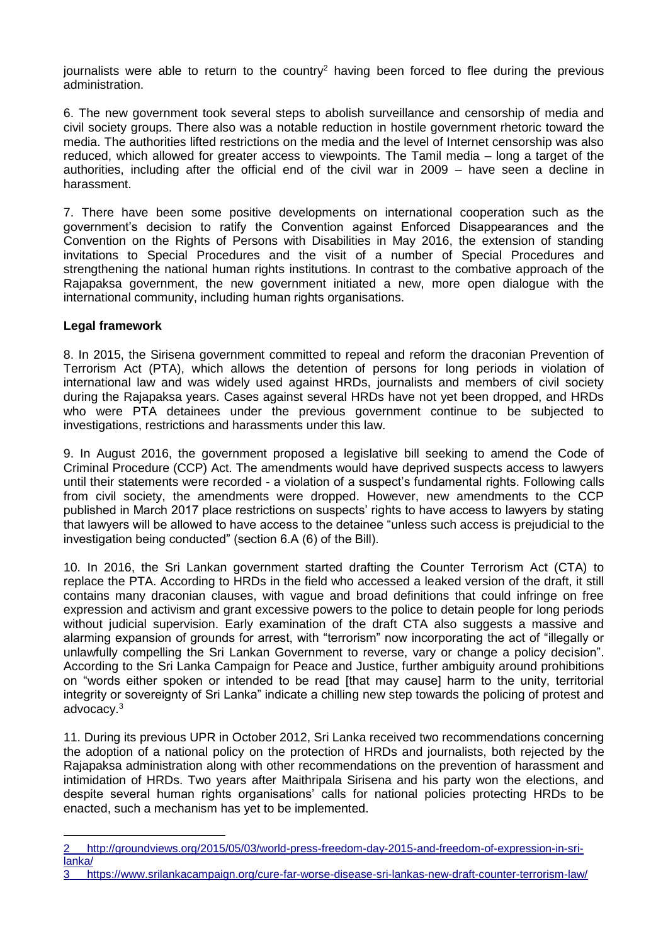journalists were able to return to the country<sup>2</sup> having been forced to flee during the previous administration.

6. The new government took several steps to abolish surveillance and censorship of media and civil society groups. There also was a notable reduction in hostile government rhetoric toward the media. The authorities lifted restrictions on the media and the level of Internet censorship was also reduced, which allowed for greater access to viewpoints. The Tamil media – long a target of the authorities, including after the official end of the civil war in 2009 – have seen a decline in harassment.

7. There have been some positive developments on international cooperation such as the government's decision to ratify the Convention against Enforced Disappearances and the Convention on the Rights of Persons with Disabilities in May 2016, the extension of standing invitations to Special Procedures and the visit of a number of Special Procedures and strengthening the national human rights institutions. In contrast to the combative approach of the Rajapaksa government, the new government initiated a new, more open dialogue with the international community, including human rights organisations.

## **Legal framework**

1

8. In 2015, the Sirisena government committed to repeal and reform the draconian Prevention of Terrorism Act (PTA), which allows the detention of persons for long periods in violation of international law and was widely used against HRDs, journalists and members of civil society during the Rajapaksa years. Cases against several HRDs have not yet been dropped, and HRDs who were PTA detainees under the previous government continue to be subjected to investigations, restrictions and harassments under this law.

9. In August 2016, the government proposed a legislative bill seeking to amend the Code of Criminal Procedure (CCP) Act. The amendments would have deprived suspects access to lawyers until their statements were recorded - a violation of a suspect's fundamental rights. Following calls from civil society, the amendments were dropped. However, new amendments to the CCP published in March 2017 place restrictions on suspects' rights to have access to lawyers by stating that lawyers will be allowed to have access to the detainee "unless such access is prejudicial to the investigation being conducted" (section 6.A (6) of the Bill).

10. In 2016, the Sri Lankan government started drafting the Counter Terrorism Act (CTA) to replace the PTA. According to HRDs in the field who accessed a leaked version of the draft, it still contains many draconian clauses, with vague and broad definitions that could infringe on free expression and activism and grant excessive powers to the police to detain people for long periods without judicial supervision. Early examination of the draft CTA also suggests a massive and alarming expansion of grounds for arrest, with "terrorism" now incorporating the act of "illegally or unlawfully compelling the Sri Lankan Government to reverse, vary or change a policy decision". According to the Sri Lanka Campaign for Peace and Justice, further ambiguity around prohibitions on "words either spoken or intended to be read [that may cause] harm to the unity, territorial integrity or sovereignty of Sri Lanka" indicate a chilling new step towards the policing of protest and advocacy.<sup>3</sup>

11. During its previous UPR in October 2012, Sri Lanka received two recommendations concerning the adoption of a national policy on the protection of HRDs and journalists, both rejected by the Rajapaksa administration along with other recommendations on the prevention of harassment and intimidation of HRDs. Two years after Maithripala Sirisena and his party won the elections, and despite several human rights organisations' calls for national policies protecting HRDs to be enacted, such a mechanism has yet to be implemented.

<sup>2</sup> [http://groundviews.org/2015/05/03/world-press-freedom-day-2015-and-freedom-of-expression-in-sri](http://groundviews.org/2015/05/03/world-press-freedom-day-2015-and-freedom-of-expression-in-sri-lanka/)[lanka/](http://groundviews.org/2015/05/03/world-press-freedom-day-2015-and-freedom-of-expression-in-sri-lanka/)

<sup>3</sup> <https://www.srilankacampaign.org/cure-far-worse-disease-sri-lankas-new-draft-counter-terrorism-law/>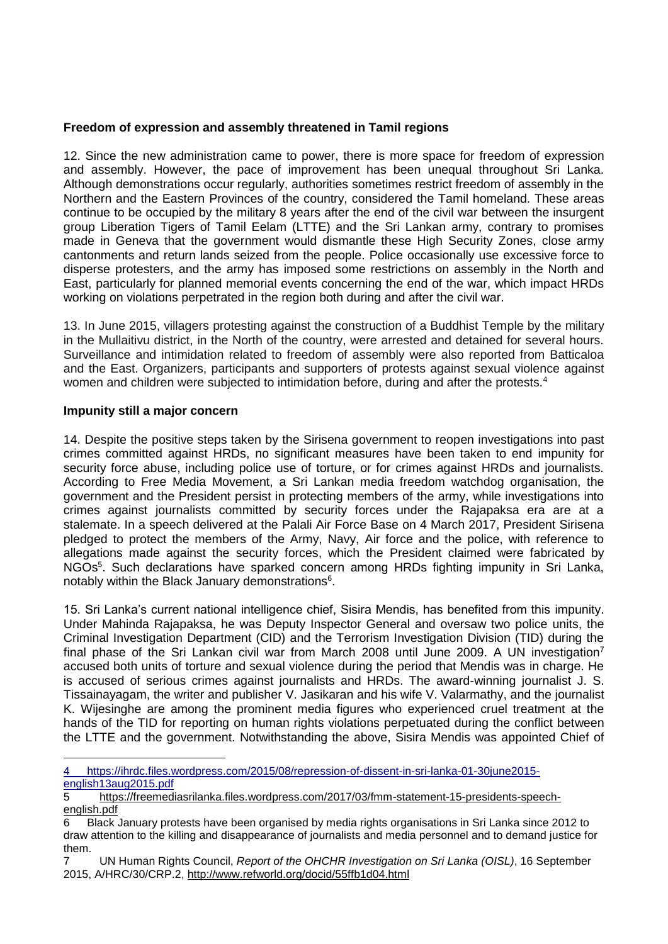## **Freedom of expression and assembly threatened in Tamil regions**

12. Since the new administration came to power, there is more space for freedom of expression and assembly. However, the pace of improvement has been unequal throughout Sri Lanka. Although demonstrations occur regularly, authorities sometimes restrict freedom of assembly in the Northern and the Eastern Provinces of the country, considered the Tamil homeland. These areas continue to be occupied by the military 8 years after the end of the civil war between the insurgent group Liberation Tigers of Tamil Eelam (LTTE) and the Sri Lankan army, contrary to promises made in Geneva that the government would dismantle these High Security Zones, close army cantonments and return lands seized from the people. Police occasionally use excessive force to disperse protesters, and the army has imposed some restrictions on assembly in the North and East, particularly for planned memorial events concerning the end of the war, which impact HRDs working on violations perpetrated in the region both during and after the civil war.

13. In June 2015, villagers protesting against the construction of a Buddhist Temple by the military in the Mullaitivu district, in the North of the country, were arrested and detained for several hours. Surveillance and intimidation related to freedom of assembly were also reported from Batticaloa and the East. Organizers, participants and supporters of protests against sexual violence against women and children were subjected to intimidation before, during and after the protests.<sup>4</sup>

#### **Impunity still a major concern**

1

14. Despite the positive steps taken by the Sirisena government to reopen investigations into past crimes committed against HRDs, no significant measures have been taken to end impunity for security force abuse, including police use of torture, or for crimes against HRDs and journalists. According to Free Media Movement, a Sri Lankan media freedom watchdog organisation, the government and the President persist in protecting members of the army, while investigations into crimes against journalists committed by security forces under the Rajapaksa era are at a stalemate. In a speech delivered at the Palali Air Force Base on 4 March 2017, President Sirisena pledged to protect the members of the Army, Navy, Air force and the police, with reference to allegations made against the security forces, which the President claimed were fabricated by NGOs<sup>5</sup>. Such declarations have sparked concern among HRDs fighting impunity in Sri Lanka, notably within the Black January demonstrations<sup>6</sup>.

15. Sri Lanka's current national intelligence chief, Sisira Mendis, has benefited from this impunity. Under Mahinda Rajapaksa, he was Deputy Inspector General and oversaw two police units, the Criminal Investigation Department (CID) and the Terrorism Investigation Division (TID) during the final phase of the Sri Lankan civil war from March 2008 until June 2009. A UN investigation<sup>7</sup> accused both units of torture and sexual violence during the period that Mendis was in charge. He is accused of serious crimes against journalists and HRDs. The award-winning journalist J. S. Tissainayagam, the writer and publisher V. Jasikaran and his wife V. Valarmathy, and the journalist K. Wijesinghe are among the prominent media figures who experienced cruel treatment at the hands of the TID for reporting on human rights violations perpetuated during the conflict between the LTTE and the government. Notwithstanding the above, Sisira Mendis was appointed Chief of

<sup>4</sup> [https://ihrdc.files.wordpress.com/2015/08/repression-of-dissent-in-sri-lanka-01-30june2015](https://ihrdc.files.wordpress.com/2015/08/repression-of-dissent-in-sri-lanka-01-30june2015-english13aug2015.pdf) [english13aug2015.pdf](https://ihrdc.files.wordpress.com/2015/08/repression-of-dissent-in-sri-lanka-01-30june2015-english13aug2015.pdf)

<sup>5</sup> [https://freemediasrilanka.files.wordpress.com/2017/03/fmm-statement-15-presidents-speech](https://freemediasrilanka.files.wordpress.com/2017/03/fmm-statement-15-presidents-speech-english.pdf)[english.pdf](https://freemediasrilanka.files.wordpress.com/2017/03/fmm-statement-15-presidents-speech-english.pdf)

<sup>6</sup> Black January protests have been organised by media rights organisations in Sri Lanka since 2012 to draw attention to the killing and disappearance of journalists and media personnel and to demand justice for them.

<sup>7</sup> UN Human Rights Council, *Report of the OHCHR Investigation on Sri Lanka (OISL)*, 16 September 2015, A/HRC/30/CRP.2,<http://www.refworld.org/docid/55ffb1d04.html>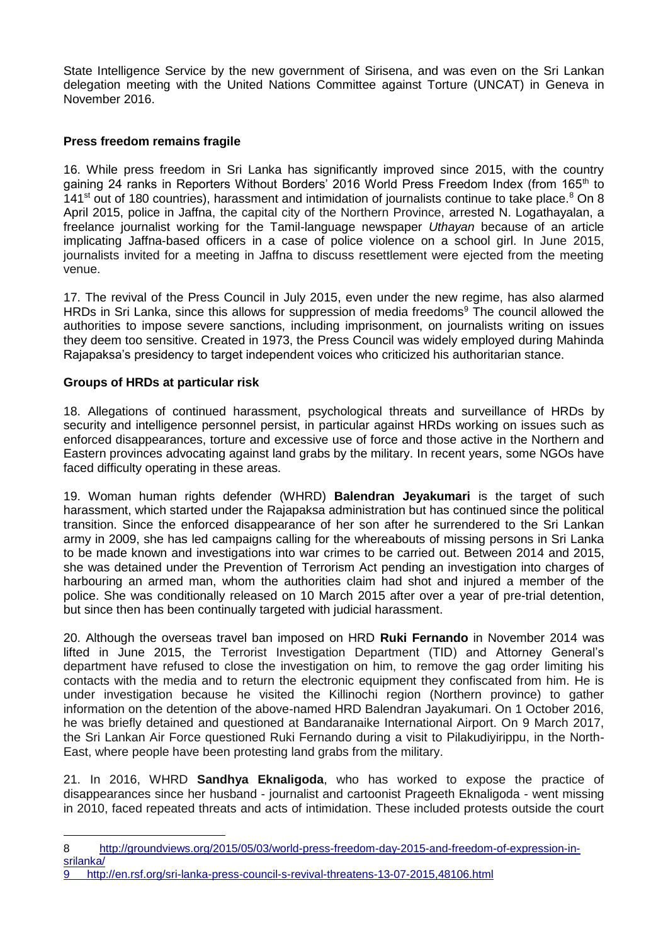State Intelligence Service by the new government of Sirisena, and was even on the Sri Lankan delegation meeting with the United Nations Committee against Torture (UNCAT) in Geneva in November 2016.

# **Press freedom remains fragile**

16. While press freedom in Sri Lanka has significantly improved since 2015, with the country gaining 24 ranks in Reporters Without Borders' 2016 World Press Freedom Index (from 165<sup>th</sup> to 141<sup>st</sup> out of 180 countries), harassment and intimidation of journalists continue to take place.<sup>8</sup> On 8 April 2015, police in Jaffna, the capital city of the Northern Province, arrested N. Logathayalan, a freelance journalist working for the Tamil-language newspaper *Uthayan* because of an article implicating Jaffna-based officers in a case of police violence on a school girl. In June 2015, journalists invited for a meeting in Jaffna to discuss resettlement were ejected from the meeting venue.

17. The revival of the Press Council in July 2015, even under the new regime, has also alarmed HRDs in Sri Lanka, since this allows for suppression of media freedoms<sup>9</sup> The council allowed the authorities to impose severe sanctions, including imprisonment, on journalists writing on issues they deem too sensitive. Created in 1973, the Press Council was widely employed during Mahinda Rajapaksa's presidency to target independent voices who criticized his authoritarian stance.

## **Groups of HRDs at particular risk**

1

18. Allegations of continued harassment, psychological threats and surveillance of HRDs by security and intelligence personnel persist, in particular against HRDs working on issues such as enforced disappearances, torture and excessive use of force and those active in the Northern and Eastern provinces advocating against land grabs by the military. In recent years, some NGOs have faced difficulty operating in these areas.

19. Woman human rights defender (WHRD) **Balendran Jeyakumari** is the target of such harassment, which started under the Rajapaksa administration but has continued since the political transition. Since the enforced disappearance of her son after he surrendered to the Sri Lankan army in 2009, she has led campaigns calling for the whereabouts of missing persons in Sri Lanka to be made known and investigations into war crimes to be carried out. Between 2014 and 2015, she was detained under the Prevention of Terrorism Act pending an investigation into charges of harbouring an armed man, whom the authorities claim had shot and injured a member of the police. She was conditionally released on 10 March 2015 after over a year of pre-trial detention, but since then has been continually targeted with judicial harassment.

20. Although the overseas travel ban imposed on HRD **Ruki Fernando** in November 2014 was lifted in June 2015, the Terrorist Investigation Department (TID) and Attorney General's department have refused to close the investigation on him, to remove the gag order limiting his contacts with the media and to return the electronic equipment they confiscated from him. He is under investigation because he visited the Killinochi region (Northern province) to gather information on the detention of the above-named HRD Balendran Jayakumari. On 1 October 2016, he was briefly detained and questioned at Bandaranaike International Airport. On 9 March 2017, the Sri Lankan Air Force questioned Ruki Fernando during a visit to Pilakudiyirippu, in the North-East, where people have been protesting land grabs from the military.

21. In 2016, WHRD **Sandhya Eknaligoda**, who has worked to expose the practice of disappearances since her husband - journalist and cartoonist Prageeth Eknaligoda - went missing in 2010, faced repeated threats and acts of intimidation. These included protests outside the court

<sup>8</sup> [http://groundviews.org/2015/05/03/world-press-freedom-day-2015-and-freedom-of-expression-in](http://groundviews.org/2015/05/03/world-press-freedom-day-2015-and-freedom-of-expression-in-srilanka/)[srilanka/](http://groundviews.org/2015/05/03/world-press-freedom-day-2015-and-freedom-of-expression-in-srilanka/)

<sup>9</sup> <http://en.rsf.org/sri-lanka-press-council-s-revival-threatens-13-07-2015,48106.html>